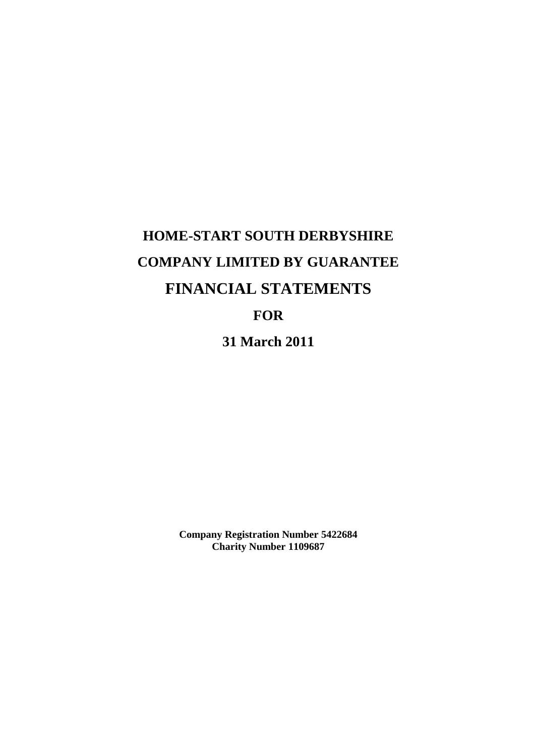# **HOME-START SOUTH DERBYSHIRE COMPANY LIMITED BY GUARANTEE FINANCIAL STATEMENTS FOR 31 March 2011**

**Company Registration Number 5422684 Charity Number 1109687**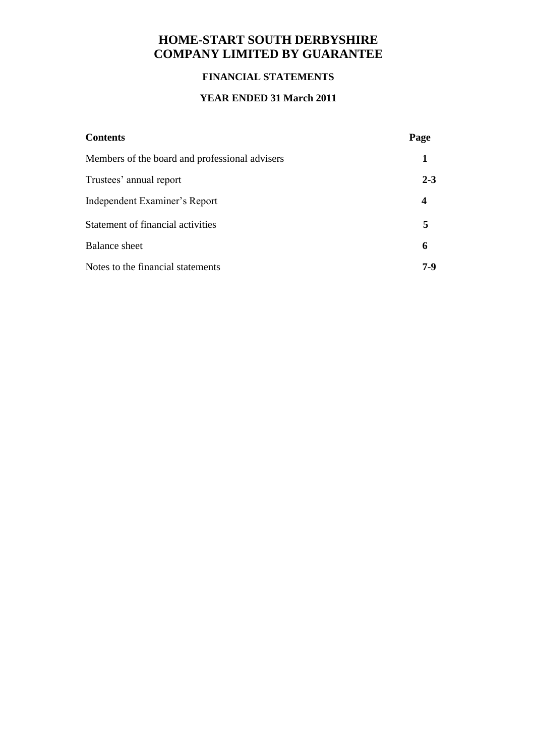# **HOME-START SOUTH DERBYSHIRE COMPANY LIMITED BY GUARANTEE**

## **FINANCIAL STATEMENTS**

## **YEAR ENDED 31 March 2011**

| <b>Contents</b>                                | Page    |
|------------------------------------------------|---------|
| Members of the board and professional advisers |         |
| Trustees' annual report                        | $2 - 3$ |
| Independent Examiner's Report                  |         |
| Statement of financial activities              | 5       |
| <b>Balance sheet</b>                           | 6       |
| Notes to the financial statements              | 7-9     |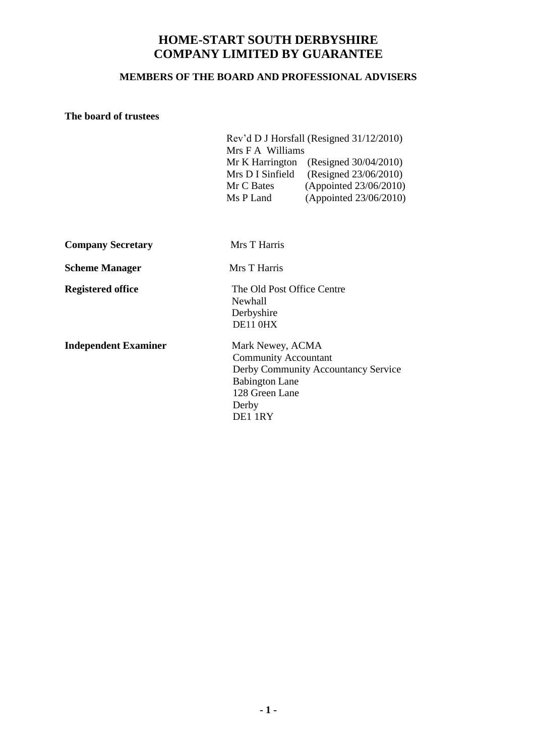# **HOME-START SOUTH DERBYSHIRE COMPANY LIMITED BY GUARANTEE**

#### **MEMBERS OF THE BOARD AND PROFESSIONAL ADVISERS**

#### **The board of trustees**

| Rev'd D J Horsfall (Resigned 31/12/2010) |                        |  |  |  |
|------------------------------------------|------------------------|--|--|--|
| Mrs F A Williams                         |                        |  |  |  |
| Mr K Harrington                          | (Resigned 30/04/2010)  |  |  |  |
| Mrs D I Sinfield                         | (Resigned 23/06/2010)  |  |  |  |
| Mr C Bates                               | (Appointed 23/06/2010) |  |  |  |
| Ms P Land                                | (Appointed 23/06/2010) |  |  |  |

|  | <b>Company Secretary</b> |
|--|--------------------------|
|--|--------------------------|

**Mrs T Harris** 

**Scheme Manager** Mrs T Harris

**Registered office** The Old Post Office Centre Newhall Derbyshire DE11 0HX

**Independent Examiner** Mark Newey, ACMA

 Community Accountant Derby Community Accountancy Service Babington Lane 128 Green Lane Derby DE1 1RY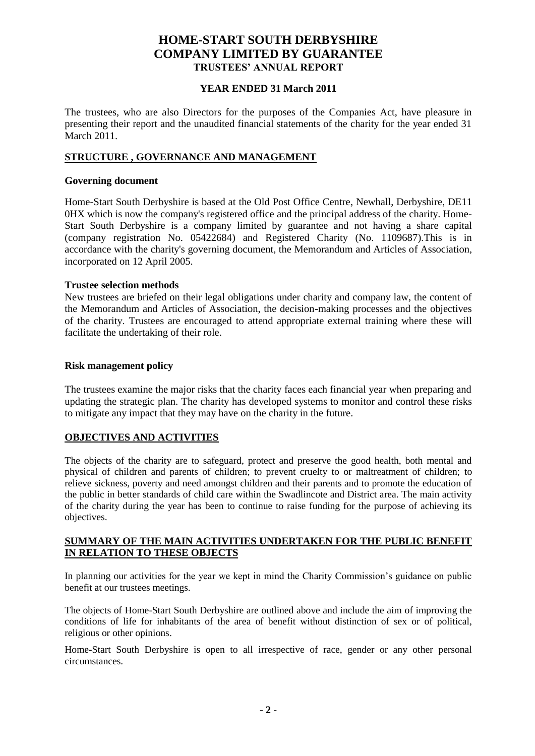### **HOME-START SOUTH DERBYSHIRE COMPANY LIMITED BY GUARANTEE TRUSTEES' ANNUAL REPORT**

#### **YEAR ENDED 31 March 2011**

The trustees, who are also Directors for the purposes of the Companies Act, have pleasure in presenting their report and the unaudited financial statements of the charity for the year ended 31 March 2011.

#### **STRUCTURE , GOVERNANCE AND MANAGEMENT**

#### **Governing document**

Home-Start South Derbyshire is based at the Old Post Office Centre, Newhall, Derbyshire, DE11 0HX which is now the company's registered office and the principal address of the charity. Home-Start South Derbyshire is a company limited by guarantee and not having a share capital (company registration No. 05422684) and Registered Charity (No. 1109687).This is in accordance with the charity's governing document, the Memorandum and Articles of Association, incorporated on 12 April 2005.

#### **Trustee selection methods**

New trustees are briefed on their legal obligations under charity and company law, the content of the Memorandum and Articles of Association, the decision-making processes and the objectives of the charity. Trustees are encouraged to attend appropriate external training where these will facilitate the undertaking of their role.

#### **Risk management policy**

The trustees examine the major risks that the charity faces each financial year when preparing and updating the strategic plan. The charity has developed systems to monitor and control these risks to mitigate any impact that they may have on the charity in the future.

#### **OBJECTIVES AND ACTIVITIES**

The objects of the charity are to safeguard, protect and preserve the good health, both mental and physical of children and parents of children; to prevent cruelty to or maltreatment of children; to relieve sickness, poverty and need amongst children and their parents and to promote the education of the public in better standards of child care within the Swadlincote and District area. The main activity of the charity during the year has been to continue to raise funding for the purpose of achieving its objectives.

#### **SUMMARY OF THE MAIN ACTIVITIES UNDERTAKEN FOR THE PUBLIC BENEFIT IN RELATION TO THESE OBJECTS**

In planning our activities for the year we kept in mind the Charity Commission's guidance on public benefit at our trustees meetings.

The objects of Home-Start South Derbyshire are outlined above and include the aim of improving the conditions of life for inhabitants of the area of benefit without distinction of sex or of political, religious or other opinions.

Home-Start South Derbyshire is open to all irrespective of race, gender or any other personal circumstances.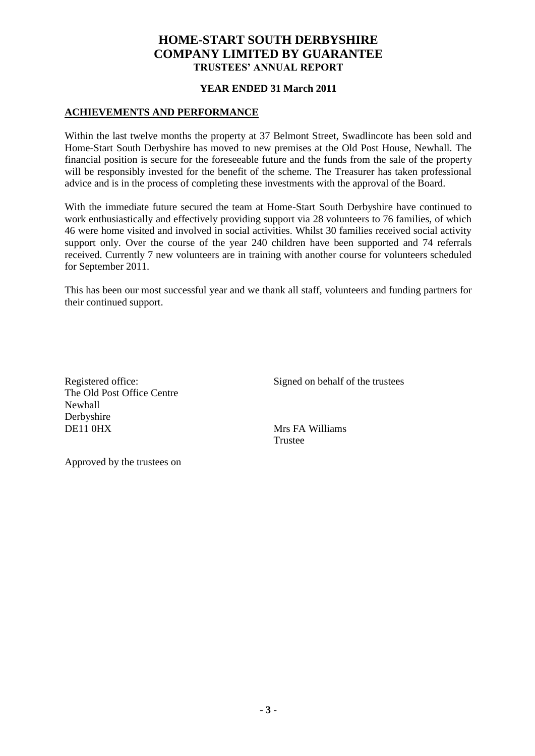### **HOME-START SOUTH DERBYSHIRE COMPANY LIMITED BY GUARANTEE TRUSTEES' ANNUAL REPORT**

#### **YEAR ENDED 31 March 2011**

#### **ACHIEVEMENTS AND PERFORMANCE**

Within the last twelve months the property at 37 Belmont Street, Swadlincote has been sold and Home-Start South Derbyshire has moved to new premises at the Old Post House, Newhall. The financial position is secure for the foreseeable future and the funds from the sale of the property will be responsibly invested for the benefit of the scheme. The Treasurer has taken professional advice and is in the process of completing these investments with the approval of the Board.

With the immediate future secured the team at Home-Start South Derbyshire have continued to work enthusiastically and effectively providing support via 28 volunteers to 76 families, of which 46 were home visited and involved in social activities. Whilst 30 families received social activity support only. Over the course of the year 240 children have been supported and 74 referrals received. Currently 7 new volunteers are in training with another course for volunteers scheduled for September 2011.

This has been our most successful year and we thank all staff, volunteers and funding partners for their continued support.

The Old Post Office Centre Newhall Derbyshire DE11 0HX Mrs FA Williams

Registered office: Signed on behalf of the trustees

Trustee

Approved by the trustees on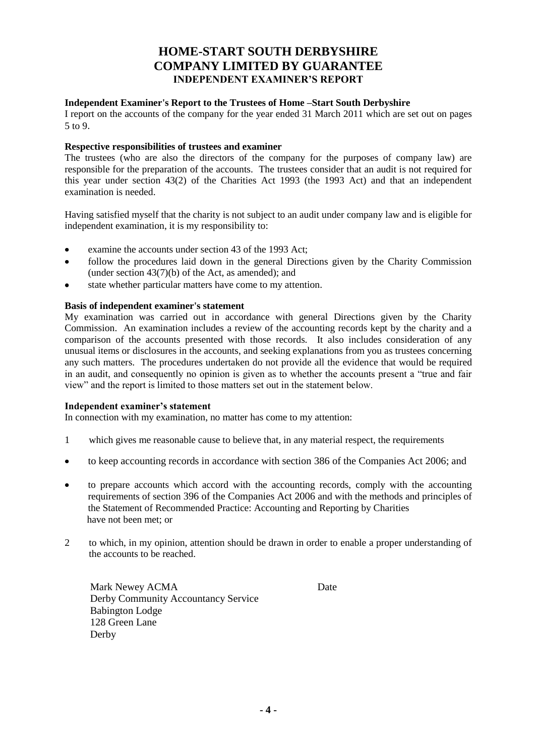### **HOME-START SOUTH DERBYSHIRE COMPANY LIMITED BY GUARANTEE INDEPENDENT EXAMINER'S REPORT**

#### **Independent Examiner's Report to the Trustees of Home –Start South Derbyshire**

I report on the accounts of the company for the year ended 31 March 2011 which are set out on pages 5 to 9.

#### **Respective responsibilities of trustees and examiner**

The trustees (who are also the directors of the company for the purposes of company law) are responsible for the preparation of the accounts. The trustees consider that an audit is not required for this year under section 43(2) of the Charities Act 1993 (the 1993 Act) and that an independent examination is needed.

Having satisfied myself that the charity is not subject to an audit under company law and is eligible for independent examination, it is my responsibility to:

- examine the accounts under section 43 of the 1993 Act;
- follow the procedures laid down in the general Directions given by the Charity Commission (under section 43(7)(b) of the Act, as amended); and
- state whether particular matters have come to my attention.

#### **Basis of independent examiner's statement**

My examination was carried out in accordance with general Directions given by the Charity Commission. An examination includes a review of the accounting records kept by the charity and a comparison of the accounts presented with those records. It also includes consideration of any unusual items or disclosures in the accounts, and seeking explanations from you as trustees concerning any such matters. The procedures undertaken do not provide all the evidence that would be required in an audit, and consequently no opinion is given as to whether the accounts present a "true and fair view" and the report is limited to those matters set out in the statement below.

#### **Independent examiner's statement**

In connection with my examination, no matter has come to my attention:

- 1 which gives me reasonable cause to believe that, in any material respect, the requirements
- to keep accounting records in accordance with section 386 of the Companies Act 2006; and  $\bullet$
- to prepare accounts which accord with the accounting records, comply with the accounting requirements of section 396 of the Companies Act 2006 and with the methods and principles of the Statement of Recommended Practice: Accounting and Reporting by Charities have not been met; or
- 2 to which, in my opinion, attention should be drawn in order to enable a proper understanding of the accounts to be reached.

Mark Newey ACMA Date Derby Community Accountancy Service Babington Lodge 128 Green Lane Derby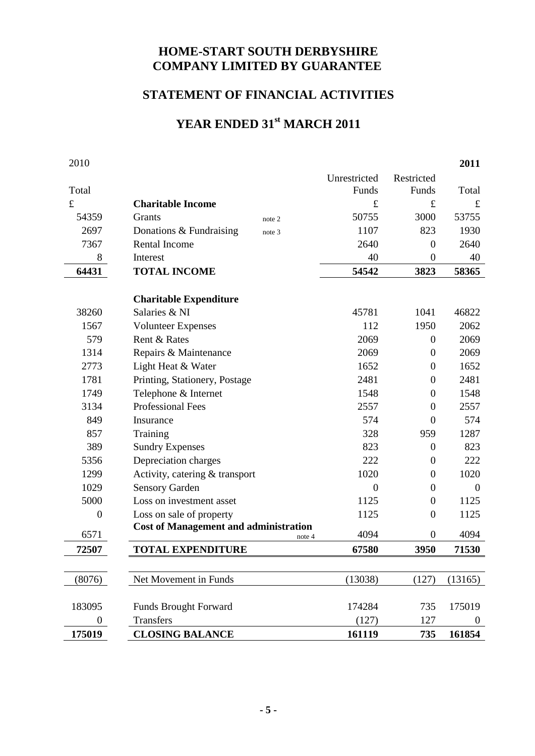# **HOME-START SOUTH DERBYSHIRE COMPANY LIMITED BY GUARANTEE**

# **STATEMENT OF FINANCIAL ACTIVITIES**

# **YEAR ENDED 31st MARCH 2011**

| 2010             |                                              |        |                |                  | 2011             |
|------------------|----------------------------------------------|--------|----------------|------------------|------------------|
|                  |                                              |        | Unrestricted   | Restricted       |                  |
| Total            |                                              |        | Funds          | Funds            | Total            |
| $\mathbf f$      | <b>Charitable Income</b>                     |        | $\pounds$      | $\pounds$        | $\pounds$        |
| 54359            | <b>Grants</b>                                | note 2 | 50755          | 3000             | 53755            |
| 2697             | Donations & Fundraising                      | note 3 | 1107           | 823              | 1930             |
| 7367             | <b>Rental Income</b>                         |        | 2640           | $\theta$         | 2640             |
| 8                | Interest                                     |        | 40             | $\theta$         | 40               |
| 64431            | <b>TOTAL INCOME</b>                          |        | 54542          | 3823             | 58365            |
|                  |                                              |        |                |                  |                  |
|                  | <b>Charitable Expenditure</b>                |        |                |                  |                  |
| 38260            | Salaries & NI                                |        | 45781          | 1041             | 46822            |
| 1567             | <b>Volunteer Expenses</b>                    |        | 112            | 1950             | 2062             |
| 579              | Rent & Rates                                 |        | 2069           | $\overline{0}$   | 2069             |
| 1314             | Repairs & Maintenance                        |        | 2069           | $\overline{0}$   | 2069             |
| 2773             | Light Heat & Water                           |        | 1652           | $\theta$         | 1652             |
| 1781             | Printing, Stationery, Postage                |        | 2481           | $\overline{0}$   | 2481             |
| 1749             | Telephone & Internet                         |        | 1548           | $\theta$         | 1548             |
| 3134             | <b>Professional Fees</b>                     |        | 2557           | $\overline{0}$   | 2557             |
| 849              | Insurance                                    |        | 574            | $\overline{0}$   | 574              |
| 857              | Training                                     |        | 328            | 959              | 1287             |
| 389              | <b>Sundry Expenses</b>                       |        | 823            | $\theta$         | 823              |
| 5356             | Depreciation charges                         |        | 222            | $\boldsymbol{0}$ | 222              |
| 1299             | Activity, catering & transport               |        | 1020           | $\theta$         | 1020             |
| 1029             | <b>Sensory Garden</b>                        |        | $\overline{0}$ | $\overline{0}$   | $\theta$         |
| 5000             | Loss on investment asset                     |        | 1125           | $\theta$         | 1125             |
| $\boldsymbol{0}$ | Loss on sale of property                     |        | 1125           | $\overline{0}$   | 1125             |
| 6571             | <b>Cost of Management and administration</b> | note 4 | 4094           | $\boldsymbol{0}$ | 4094             |
| 72507            | <b>TOTAL EXPENDITURE</b>                     |        | 67580          | 3950             | 71530            |
|                  |                                              |        |                |                  |                  |
| (8076)           | Net Movement in Funds                        |        | (13038)        | (127)            | (13165)          |
|                  |                                              |        |                |                  |                  |
| 183095           | <b>Funds Brought Forward</b>                 |        | 174284         | 735              | 175019           |
| $\boldsymbol{0}$ | <b>Transfers</b>                             |        | (127)          | 127              | $\boldsymbol{0}$ |
| 175019           | <b>CLOSING BALANCE</b>                       |        | 161119         | 735              | 161854           |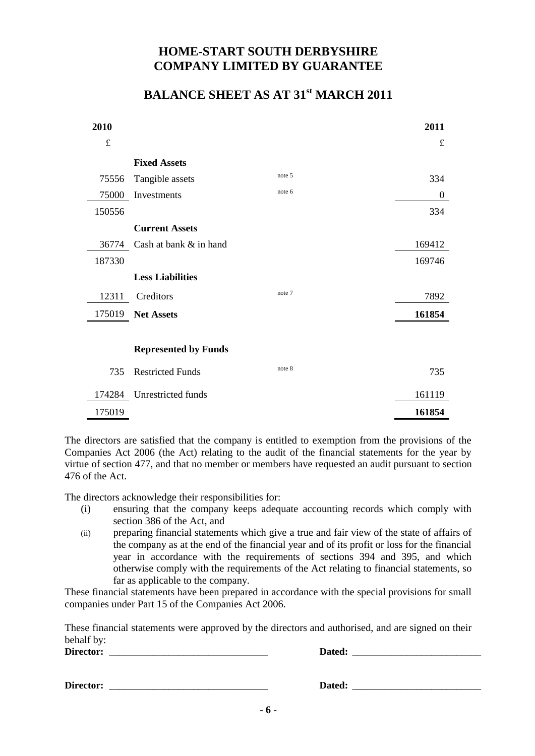# **HOME-START SOUTH DERBYSHIRE COMPANY LIMITED BY GUARANTEE**

# **BALANCE SHEET AS AT 31st MARCH 2011**

| 2010   |                             |        | 2011             |
|--------|-----------------------------|--------|------------------|
| £      |                             |        | $\pounds$        |
|        | <b>Fixed Assets</b>         |        |                  |
| 75556  | Tangible assets             | note 5 | 334              |
| 75000  | Investments                 | note 6 | $\boldsymbol{0}$ |
| 150556 |                             |        | 334              |
|        | <b>Current Assets</b>       |        |                  |
| 36774  | Cash at bank & in hand      |        | 169412           |
| 187330 |                             |        | 169746           |
|        | <b>Less Liabilities</b>     |        |                  |
| 12311  | Creditors                   | note 7 | 7892             |
| 175019 | <b>Net Assets</b>           |        | 161854           |
|        |                             |        |                  |
|        | <b>Represented by Funds</b> |        |                  |
| 735    | <b>Restricted Funds</b>     | note 8 | 735              |
| 174284 | Unrestricted funds          |        | 161119           |
| 175019 |                             |        | 161854           |

The directors are satisfied that the company is entitled to exemption from the provisions of the Companies Act 2006 (the Act) relating to the audit of the financial statements for the year by virtue of section 477, and that no member or members have requested an audit pursuant to section 476 of the Act.

The directors acknowledge their responsibilities for:

- (i) ensuring that the company keeps adequate accounting records which comply with section 386 of the Act, and
- (ii) preparing financial statements which give a true and fair view of the state of affairs of the company as at the end of the financial year and of its profit or loss for the financial year in accordance with the requirements of sections 394 and 395, and which otherwise comply with the requirements of the Act relating to financial statements, so far as applicable to the company.

These financial statements have been prepared in accordance with the special provisions for small companies under Part 15 of the Companies Act 2006.

These financial statements were approved by the directors and authorised, and are signed on their behalf by:

**Director:** \_\_\_\_\_\_\_\_\_\_\_\_\_\_\_\_\_\_\_\_\_\_\_\_\_\_\_\_\_\_\_\_ **Dated:** \_\_\_\_\_\_\_\_\_\_\_\_\_\_\_\_\_\_\_\_\_\_\_\_\_\_

**Director:** \_\_\_\_\_\_\_\_\_\_\_\_\_\_\_\_\_\_\_\_\_\_\_\_\_\_\_\_\_\_\_\_ **Dated:** \_\_\_\_\_\_\_\_\_\_\_\_\_\_\_\_\_\_\_\_\_\_\_\_\_\_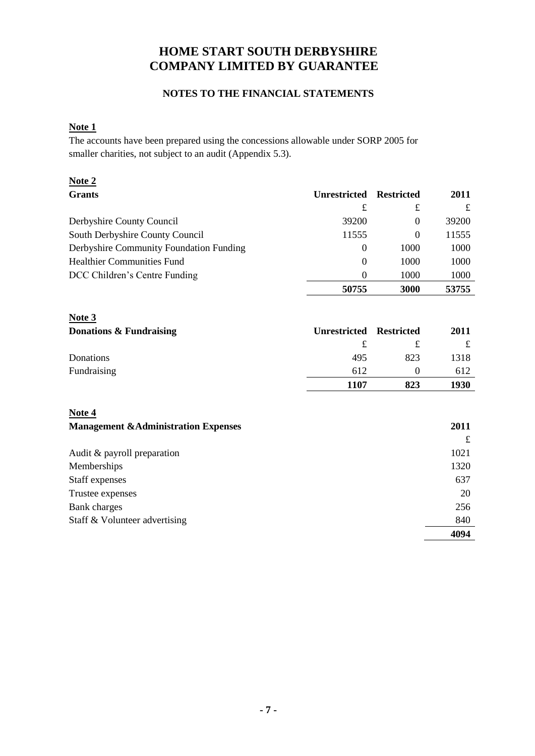# **HOME START SOUTH DERBYSHIRE COMPANY LIMITED BY GUARANTEE**

### **NOTES TO THE FINANCIAL STATEMENTS**

#### **Note 1**

The accounts have been prepared using the concessions allowable under SORP 2005 for smaller charities, not subject to an audit (Appendix 5.3).

| Note $2$                                |                     |                   |       |
|-----------------------------------------|---------------------|-------------------|-------|
| <b>Grants</b>                           | <b>Unrestricted</b> | <b>Restricted</b> | 2011  |
|                                         | £                   | £                 |       |
| Derbyshire County Council               | 39200               | 0                 | 39200 |
| South Derbyshire County Council         | 11555               | 0                 | 11555 |
| Derbyshire Community Foundation Funding | $\theta$            | 1000              | 1000  |
| <b>Healthier Communities Fund</b>       | $\theta$            | 1000              | 1000  |
| DCC Children's Centre Funding           | $\Omega$            | 1000              | 1000  |
|                                         | 50755               | 3000              | 53755 |

| Note $3$                |                     |                   |      |
|-------------------------|---------------------|-------------------|------|
| Donations & Fundraising | <b>Unrestricted</b> | <b>Restricted</b> | 2011 |
|                         | £                   |                   |      |
| Donations               | 495                 | 823               | 1318 |
| Fundraising             | 612                 | $\theta$          | 612  |
|                         | 1107                | 823               | 1930 |

**Note 4**

| <b>Management &amp; Administration Expenses</b> | 2011 |
|-------------------------------------------------|------|
|                                                 |      |
| Audit $&$ payroll preparation                   | 1021 |
| Memberships                                     | 1320 |
| Staff expenses                                  | 637  |
| Trustee expenses                                | 20   |
| <b>Bank</b> charges                             | 256  |
| Staff & Volunteer advertising                   | 840  |
|                                                 | 4094 |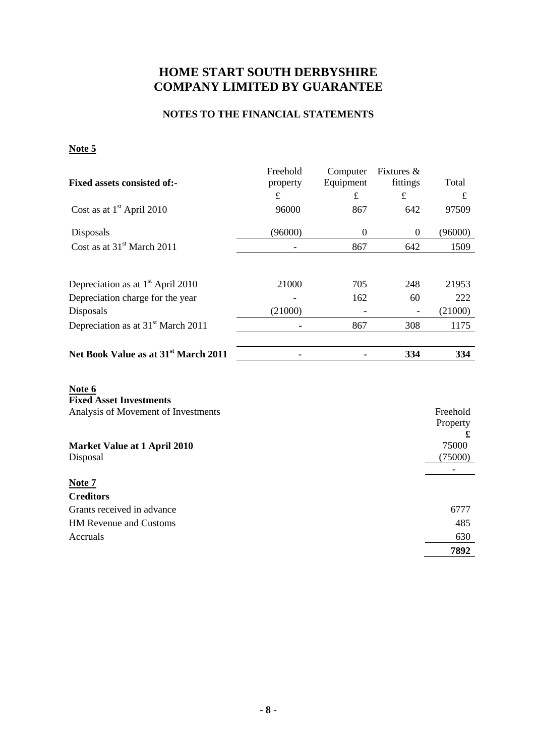# **HOME START SOUTH DERBYSHIRE COMPANY LIMITED BY GUARANTEE**

### **NOTES TO THE FINANCIAL STATEMENTS**

### **Note 5**

|                                                  | Freehold    | Computer         | Fixtures &       |            |
|--------------------------------------------------|-------------|------------------|------------------|------------|
| <b>Fixed assets consisted of:-</b>               | property    | Equipment        | fittings         | Total      |
|                                                  | $\mathbf f$ | $\mathbf f$      | $\pounds$        | £          |
| Cost as at $1st$ April 2010                      | 96000       | 867              | 642              | 97509      |
| Disposals                                        | (96000)     | $\boldsymbol{0}$ | $\boldsymbol{0}$ | (96000)    |
| Cost as at 31 <sup>st</sup> March 2011           |             | 867              | 642              | 1509       |
|                                                  |             |                  |                  |            |
| Depreciation as at $1st$ April 2010              | 21000       | 705              | 248              | 21953      |
| Depreciation charge for the year                 |             | 162              | 60               | 222        |
| Disposals                                        | (21000)     |                  |                  | (21000)    |
| Depreciation as at 31 <sup>st</sup> March 2011   |             | 867              | 308              | 1175       |
| Net Book Value as at 31 <sup>st</sup> March 2011 |             |                  | 334              | 334        |
|                                                  |             |                  |                  |            |
| Note 6                                           |             |                  |                  |            |
| <b>Fixed Asset Investments</b>                   |             |                  |                  |            |
| Analysis of Movement of Investments              |             |                  |                  | Freehold   |
|                                                  |             |                  |                  | Property   |
| <b>Market Value at 1 April 2010</b>              |             |                  |                  | £<br>75000 |
| Disposal                                         |             |                  |                  | (75000)    |
|                                                  |             |                  |                  |            |
| Note 7                                           |             |                  |                  |            |
| <b>Creditors</b>                                 |             |                  |                  |            |
| Grants received in advance                       |             |                  |                  | 6777       |
| HM Revenue and Customs                           |             |                  |                  | 485        |
| Accruals                                         |             |                  |                  | 630        |
|                                                  |             |                  |                  | 7892       |